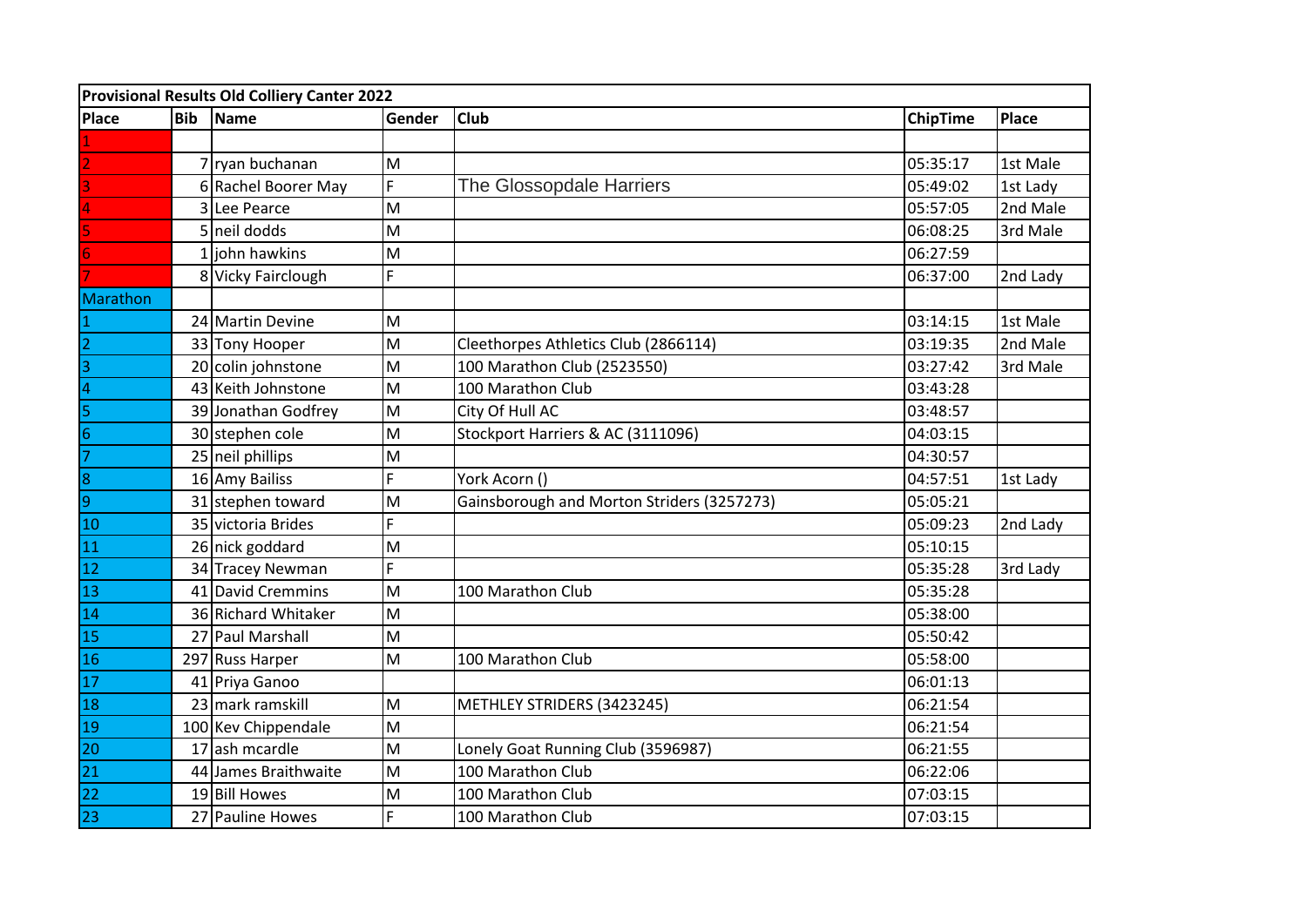| Provisional Results Old Colliery Canter 2022                              |            |                      |        |                                            |                 |          |  |
|---------------------------------------------------------------------------|------------|----------------------|--------|--------------------------------------------|-----------------|----------|--|
| <b>Place</b>                                                              | <b>Bib</b> | Name                 | Gender | <b>Club</b>                                | <b>ChipTime</b> | Place    |  |
|                                                                           |            |                      |        |                                            |                 |          |  |
|                                                                           |            | 7 ryan buchanan      | M      |                                            | 05:35:17        | 1st Male |  |
|                                                                           |            | 6 Rachel Boorer May  | F      | The Glossopdale Harriers                   | 05:49:02        | 1st Lady |  |
|                                                                           |            | 3 Lee Pearce         | M      |                                            | 05:57:05        | 2nd Male |  |
|                                                                           |            | 5 neil dodds         | M      |                                            | 06:08:25        | 3rd Male |  |
|                                                                           |            | 1 john hawkins       | M      |                                            | 06:27:59        |          |  |
|                                                                           |            | 8 Vicky Fairclough   | E.     |                                            | 06:37:00        | 2nd Lady |  |
| Marathon                                                                  |            |                      |        |                                            |                 |          |  |
|                                                                           |            | 24 Martin Devine     | M      |                                            | 03:14:15        | 1st Male |  |
| $\overline{2}$                                                            |            | 33 Tony Hooper       | M      | Cleethorpes Athletics Club (2866114)       | 03:19:35        | 2nd Male |  |
| 3                                                                         |            | 20 colin johnstone   | M      | 100 Marathon Club (2523550)                | 03:27:42        | 3rd Male |  |
| $\overline{\mathcal{A}}$                                                  |            | 43 Keith Johnstone   | M      | 100 Marathon Club                          | 03:43:28        |          |  |
| 5                                                                         |            | 39 Jonathan Godfrey  | M      | City Of Hull AC                            | 03:48:57        |          |  |
| $\overline{6}$                                                            |            | 30 stephen cole      | M      | Stockport Harriers & AC (3111096)          | 04:03:15        |          |  |
| $\overline{7}$                                                            |            | 25 neil phillips     | M      |                                            | 04:30:57        |          |  |
| $\overline{\infty}$                                                       |            | 16 Amy Bailiss       | F      | York Acorn ()                              | 04:57:51        | 1st Lady |  |
| $\overline{9}$                                                            |            | 31 stephen toward    | M      | Gainsborough and Morton Striders (3257273) | 05:05:21        |          |  |
| <u>10</u>                                                                 |            | 35 victoria Brides   | F      |                                            | 05:09:23        | 2nd Lady |  |
| $\overline{11}$                                                           |            | 26 nick goddard      | M      |                                            | 05:10:15        |          |  |
| 12                                                                        |            | 34 Tracey Newman     | F      |                                            | 05:35:28        | 3rd Lady |  |
| 13                                                                        |            | 41 David Cremmins    | M      | 100 Marathon Club                          | 05:35:28        |          |  |
| 14                                                                        |            | 36 Richard Whitaker  | M      |                                            | 05:38:00        |          |  |
| $\overline{15}$                                                           |            | 27 Paul Marshall     | M      |                                            | 05:50:42        |          |  |
| <b>16</b>                                                                 |            | 297 Russ Harper      | M      | 100 Marathon Club                          | 05:58:00        |          |  |
| $\overline{17}$                                                           |            | 41 Priya Ganoo       |        |                                            | 06:01:13        |          |  |
| $\overline{18}$                                                           |            | 23 mark ramskill     | M      | METHLEY STRIDERS (3423245)                 | 06:21:54        |          |  |
| $\overline{19}$                                                           |            | 100 Kev Chippendale  | M      |                                            | 06:21:54        |          |  |
| $\overline{20}$                                                           |            | 17 ash mcardle       | M      | Lonely Goat Running Club (3596987)         | 06:21:55        |          |  |
| $\begin{array}{c c}\n\hline\n21 \\ \hline\n22 \\ \hline\n23\n\end{array}$ |            | 44 James Braithwaite | M      | 100 Marathon Club                          | 06:22:06        |          |  |
|                                                                           |            | 19 Bill Howes        | M      | 100 Marathon Club                          | 07:03:15        |          |  |
|                                                                           |            | 27 Pauline Howes     | F      | 100 Marathon Club                          | 07:03:15        |          |  |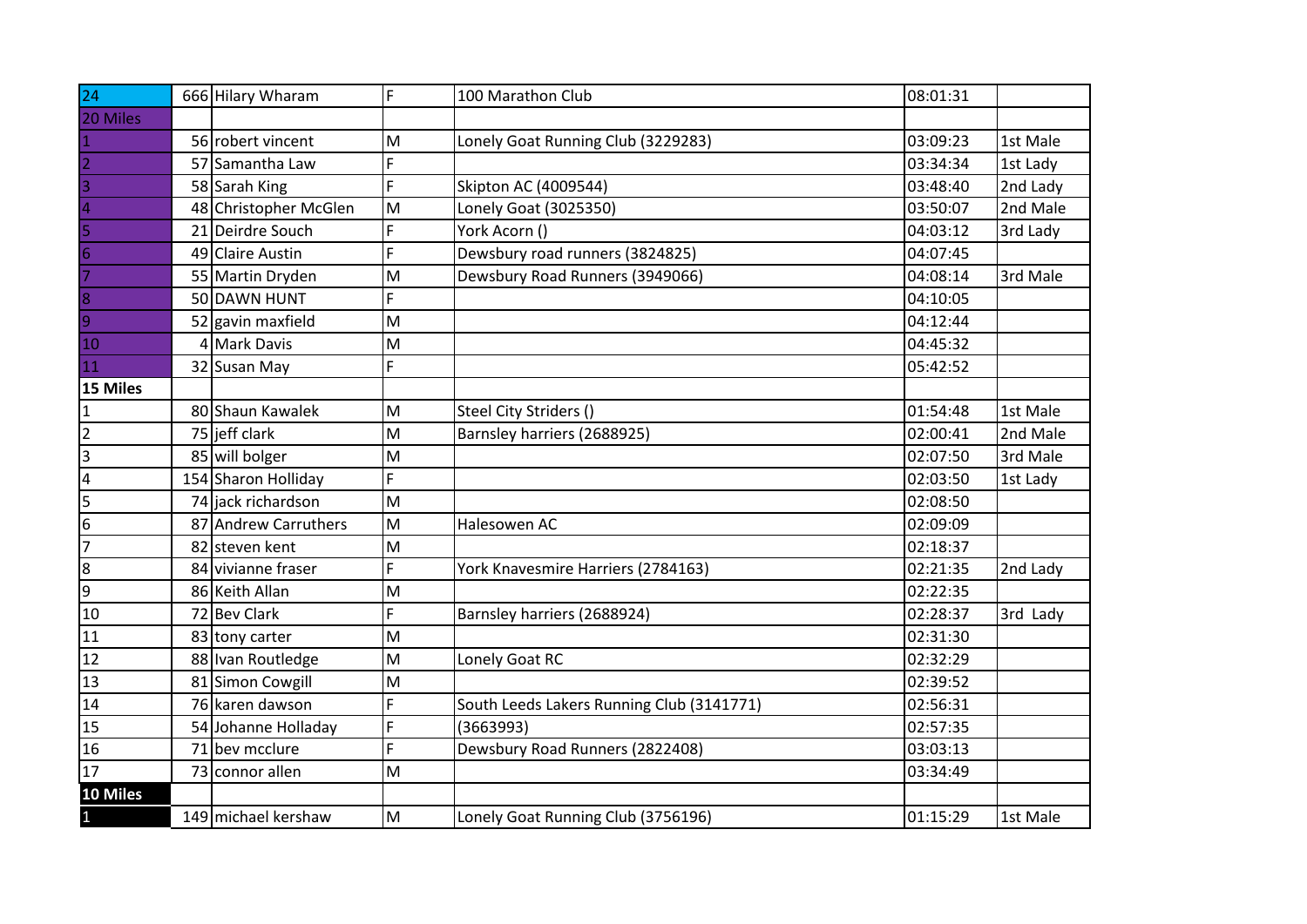| $\overline{24}$ | 666 Hilary Wharam     | F | 100 Marathon Club                         | 08:01:31 |          |
|-----------------|-----------------------|---|-------------------------------------------|----------|----------|
| 20 Miles        |                       |   |                                           |          |          |
| $\mathbf{1}$    | 56 robert vincent     | M | Lonely Goat Running Club (3229283)        | 03:09:23 | 1st Male |
| $\overline{2}$  | 57 Samantha Law       | F |                                           | 03:34:34 | 1st Lady |
| 3               | 58 Sarah King         | F | Skipton AC (4009544)                      | 03:48:40 | 2nd Lady |
| 4               | 48 Christopher McGlen | M | Lonely Goat (3025350)                     | 03:50:07 | 2nd Male |
| 5               | 21 Deirdre Souch      | F | York Acorn ()                             | 04:03:12 | 3rd Lady |
| 6               | 49 Claire Austin      | F | Dewsbury road runners (3824825)           | 04:07:45 |          |
|                 | 55 Martin Dryden      | M | Dewsbury Road Runners (3949066)           | 04:08:14 | 3rd Male |
| $\overline{8}$  | 50 DAWN HUNT          | F |                                           | 04:10:05 |          |
| $\overline{9}$  | 52 gavin maxfield     | M |                                           | 04:12:44 |          |
| 10              | 4 Mark Davis          | M |                                           | 04:45:32 |          |
| 11              | 32 Susan May          | F |                                           | 05:42:52 |          |
| 15 Miles        |                       |   |                                           |          |          |
| $\mathbf 1$     | 80 Shaun Kawalek      | M | Steel City Striders ()                    | 01:54:48 | 1st Male |
| $\overline{2}$  | 75 jeff clark         | M | Barnsley harriers (2688925)               | 02:00:41 | 2nd Male |
| $\overline{3}$  | 85 will bolger        | M |                                           | 02:07:50 | 3rd Male |
| $\overline{4}$  | 154 Sharon Holliday   | F |                                           | 02:03:50 | 1st Lady |
| 5               | 74 jack richardson    | M |                                           | 02:08:50 |          |
| 6               | 87 Andrew Carruthers  | M | Halesowen AC                              | 02:09:09 |          |
| $\overline{7}$  | 82 steven kent        | M |                                           | 02:18:37 |          |
| 8               | 84 vivianne fraser    | F | York Knavesmire Harriers (2784163)        | 02:21:35 | 2nd Lady |
| $\overline{9}$  | 86 Keith Allan        | M |                                           | 02:22:35 |          |
| 10              | 72 Bev Clark          | F | Barnsley harriers (2688924)               | 02:28:37 | 3rd Lady |
| 11              | 83 tony carter        | M |                                           | 02:31:30 |          |
| 12              | 88 Ivan Routledge     | M | Lonely Goat RC                            | 02:32:29 |          |
| 13              | 81 Simon Cowgill      | M |                                           | 02:39:52 |          |
| 14              | 76 karen dawson       | F | South Leeds Lakers Running Club (3141771) | 02:56:31 |          |
| 15              | 54 Johanne Holladay   | F | (3663993)                                 | 02:57:35 |          |
| 16              | 71 bev mcclure        | F | Dewsbury Road Runners (2822408)           | 03:03:13 |          |
| 17              | 73 connor allen       | M |                                           | 03:34:49 |          |
| 10 Miles        |                       |   |                                           |          |          |
| $\mathbf{1}$    | 149 michael kershaw   | M | Lonely Goat Running Club (3756196)        | 01:15:29 | 1st Male |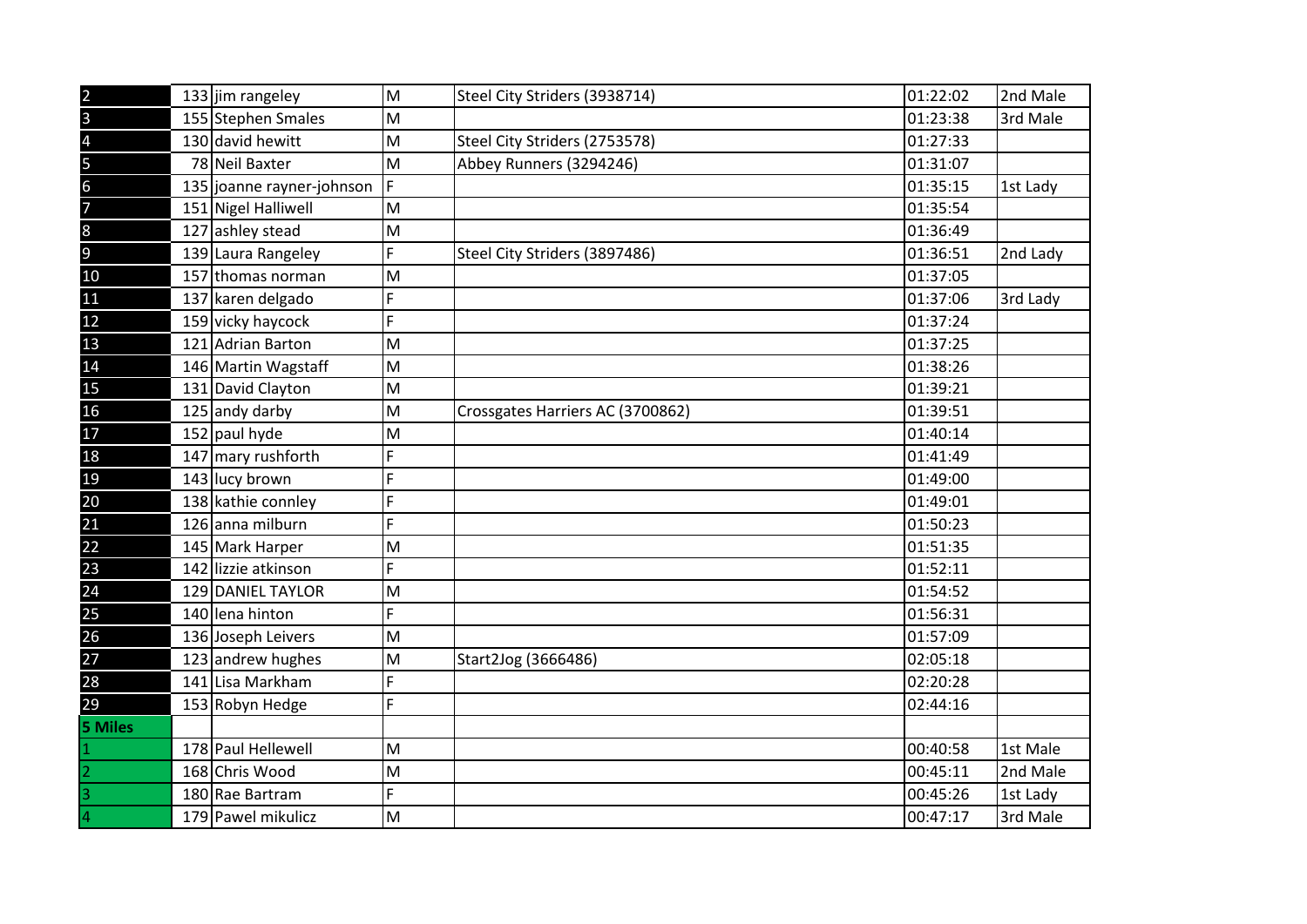| $\overline{2}$           | 133 jim rangeley          | M | Steel City Striders (3938714)    | 01:22:02 | 2nd Male |
|--------------------------|---------------------------|---|----------------------------------|----------|----------|
| $\overline{\mathbf{3}}$  | 155 Stephen Smales        | M |                                  | 01:23:38 | 3rd Male |
| $\overline{\mathbf{r}}$  | 130 david hewitt          | M | Steel City Striders (2753578)    | 01:27:33 |          |
| 5                        | 78 Neil Baxter            | M | Abbey Runners (3294246)          | 01:31:07 |          |
| $\overline{6}$           | 135 joanne rayner-johnson | F |                                  | 01:35:15 | 1st Lady |
| $\overline{\mathcal{L}}$ | 151 Nigel Halliwell       | M |                                  | 01:35:54 |          |
| $\overline{8}$           | 127 ashley stead          | M |                                  | 01:36:49 |          |
| 9                        | 139 Laura Rangeley        | F | Steel City Striders (3897486)    | 01:36:51 | 2nd Lady |
| $10\,$                   | 157 thomas norman         | M |                                  | 01:37:05 |          |
| 11                       | 137 karen delgado         | F |                                  | 01:37:06 | 3rd Lady |
| 12                       | 159 vicky haycock         | F |                                  | 01:37:24 |          |
| 13                       | 121 Adrian Barton         | M |                                  | 01:37:25 |          |
| 14                       | 146 Martin Wagstaff       | M |                                  | 01:38:26 |          |
| 15                       | 131 David Clayton         | M |                                  | 01:39:21 |          |
| 16                       | 125 andy darby            | M | Crossgates Harriers AC (3700862) | 01:39:51 |          |
| 17                       | 152 paul hyde             | M |                                  | 01:40:14 |          |
| 18                       | 147 mary rushforth        | F |                                  | 01:41:49 |          |
| 19                       | 143 lucy brown            | F |                                  | 01:49:00 |          |
| 20                       | 138 kathie connley        | F |                                  | 01:49:01 |          |
| $\overline{21}$          | 126 anna milburn          | F |                                  | 01:50:23 |          |
| 22                       | 145 Mark Harper           | M |                                  | 01:51:35 |          |
| 23                       | 142 lizzie atkinson       | F |                                  | 01:52:11 |          |
| 24                       | <b>129 DANIEL TAYLOR</b>  | M |                                  | 01:54:52 |          |
| $\overline{25}$          | 140 lena hinton           | F |                                  | 01:56:31 |          |
| 26                       | 136 Joseph Leivers        | M |                                  | 01:57:09 |          |
| 27                       | 123 andrew hughes         | M | Start2Jog (3666486)              | 02:05:18 |          |
| 28                       | 141 Lisa Markham          | F |                                  | 02:20:28 |          |
| 29                       | 153 Robyn Hedge           | F |                                  | 02:44:16 |          |
| <b>5 Miles</b>           |                           |   |                                  |          |          |
| 1                        | 178 Paul Hellewell        | M |                                  | 00:40:58 | 1st Male |
| $\overline{2}$           | 168 Chris Wood            | M |                                  | 00:45:11 | 2nd Male |
| 3                        | 180 Rae Bartram           | F |                                  | 00:45:26 | 1st Lady |
| 4                        | 179 Pawel mikulicz        | M |                                  | 00:47:17 | 3rd Male |